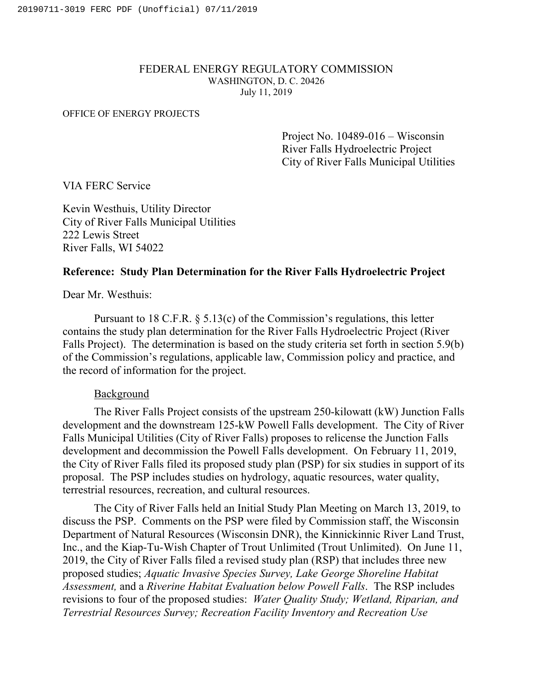### FEDERAL ENERGY REGULATORY COMMISSION WASHINGTON, D. C. 20426 July 11, 2019

#### OFFICE OF ENERGY PROJECTS

Project No. 10489-016 – Wisconsin River Falls Hydroelectric Project City of River Falls Municipal Utilities

VIA FERC Service

Kevin Westhuis, Utility Director City of River Falls Municipal Utilities 222 Lewis Street River Falls, WI 54022

## **Reference: Study Plan Determination for the River Falls Hydroelectric Project**

Dear Mr. Westhuis:

Pursuant to 18 C.F.R. § 5.13(c) of the Commission's regulations, this letter contains the study plan determination for the River Falls Hydroelectric Project (River Falls Project). The determination is based on the study criteria set forth in section 5.9(b) of the Commission's regulations, applicable law, Commission policy and practice, and the record of information for the project.

## Background

The River Falls Project consists of the upstream 250-kilowatt (kW) Junction Falls development and the downstream 125-kW Powell Falls development. The City of River Falls Municipal Utilities (City of River Falls) proposes to relicense the Junction Falls development and decommission the Powell Falls development. On February 11, 2019, the City of River Falls filed its proposed study plan (PSP) for six studies in support of its proposal. The PSP includes studies on hydrology, aquatic resources, water quality, terrestrial resources, recreation, and cultural resources.

The City of River Falls held an Initial Study Plan Meeting on March 13, 2019, to discuss the PSP. Comments on the PSP were filed by Commission staff, the Wisconsin Department of Natural Resources (Wisconsin DNR), the Kinnickinnic River Land Trust, Inc., and the Kiap-Tu-Wish Chapter of Trout Unlimited (Trout Unlimited). On June 11, 2019, the City of River Falls filed a revised study plan (RSP) that includes three new proposed studies; *Aquatic Invasive Species Survey, Lake George Shoreline Habitat Assessment,* and a *Riverine Habitat Evaluation below Powell Falls*. The RSP includes revisions to four of the proposed studies: *Water Quality Study; Wetland, Riparian, and Terrestrial Resources Survey; Recreation Facility Inventory and Recreation Use*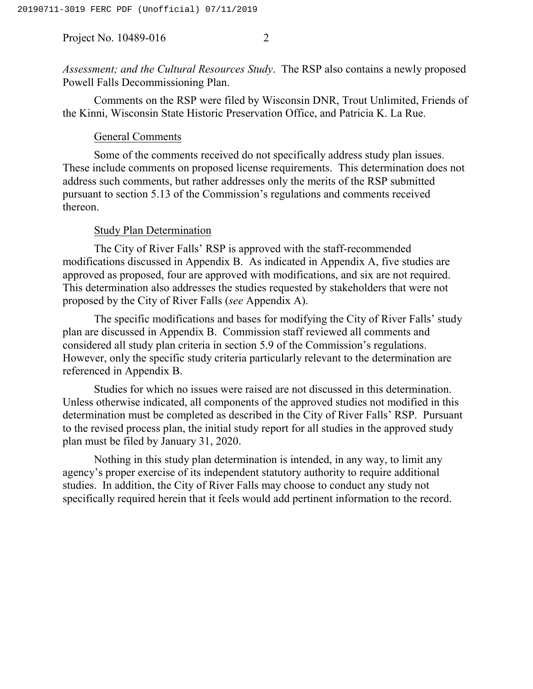*Assessment; and the Cultural Resources Study*. The RSP also contains a newly proposed Powell Falls Decommissioning Plan.

Comments on the RSP were filed by Wisconsin DNR, Trout Unlimited, Friends of the Kinni, Wisconsin State Historic Preservation Office, and Patricia K. La Rue.

# General Comments

Some of the comments received do not specifically address study plan issues. These include comments on proposed license requirements. This determination does not address such comments, but rather addresses only the merits of the RSP submitted pursuant to section 5.13 of the Commission's regulations and comments received thereon.

#### Study Plan Determination

The City of River Falls' RSP is approved with the staff-recommended modifications discussed in Appendix B. As indicated in Appendix A, five studies are approved as proposed, four are approved with modifications, and six are not required. This determination also addresses the studies requested by stakeholders that were not proposed by the City of River Falls (*see* Appendix A).

The specific modifications and bases for modifying the City of River Falls' study plan are discussed in Appendix B. Commission staff reviewed all comments and considered all study plan criteria in section 5.9 of the Commission's regulations. However, only the specific study criteria particularly relevant to the determination are referenced in Appendix B.

Studies for which no issues were raised are not discussed in this determination. Unless otherwise indicated, all components of the approved studies not modified in this determination must be completed as described in the City of River Falls' RSP. Pursuant to the revised process plan, the initial study report for all studies in the approved study plan must be filed by January 31, 2020.

Nothing in this study plan determination is intended, in any way, to limit any agency's proper exercise of its independent statutory authority to require additional studies. In addition, the City of River Falls may choose to conduct any study not specifically required herein that it feels would add pertinent information to the record.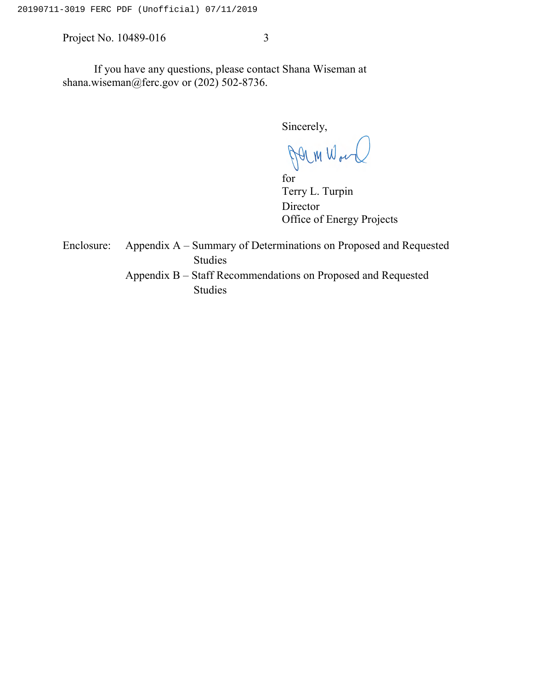If you have any questions, please contact Shana Wiseman at shana.wiseman@ferc.gov or (202) 502-8736.

Sincerely,

Jerm Wor

for Terry L. Turpin Director Office of Energy Projects

Enclosure: Appendix A – Summary of Determinations on Proposed and Requested Studies Appendix B – Staff Recommendations on Proposed and Requested Studies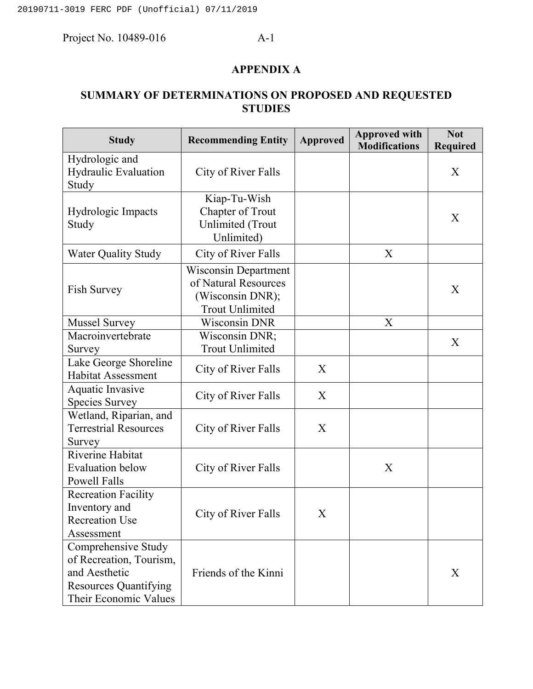# **APPENDIX A**

# **SUMMARY OF DETERMINATIONS ON PROPOSED AND REQUESTED STUDIES**

| <b>Study</b>                                                                                                             | <b>Recommending Entity</b>                                                                 | <b>Approved</b> | <b>Approved with</b><br><b>Modifications</b> | <b>Not</b><br>Required |
|--------------------------------------------------------------------------------------------------------------------------|--------------------------------------------------------------------------------------------|-----------------|----------------------------------------------|------------------------|
| Hydrologic and<br>Hydraulic Evaluation<br>Study                                                                          | City of River Falls                                                                        |                 |                                              | X                      |
| Hydrologic Impacts<br>Study                                                                                              | Kiap-Tu-Wish<br><b>Chapter of Trout</b><br><b>Unlimited</b> (Trout<br>Unlimited)           |                 |                                              | X                      |
| <b>Water Quality Study</b>                                                                                               | City of River Falls                                                                        |                 | X                                            |                        |
| <b>Fish Survey</b>                                                                                                       | Wisconsin Department<br>of Natural Resources<br>(Wisconsin DNR);<br><b>Trout Unlimited</b> |                 |                                              | X                      |
| <b>Mussel Survey</b>                                                                                                     | <b>Wisconsin DNR</b>                                                                       |                 | X                                            |                        |
| Macroinvertebrate<br>Survey                                                                                              | Wisconsin DNR;<br><b>Trout Unlimited</b>                                                   |                 |                                              | X                      |
| Lake George Shoreline<br><b>Habitat Assessment</b>                                                                       | City of River Falls                                                                        | X               |                                              |                        |
| Aquatic Invasive<br><b>Species Survey</b>                                                                                | City of River Falls                                                                        | X               |                                              |                        |
| Wetland, Riparian, and<br><b>Terrestrial Resources</b><br>Survey                                                         | City of River Falls                                                                        | X               |                                              |                        |
| Riverine Habitat<br><b>Evaluation below</b><br><b>Powell Falls</b>                                                       | City of River Falls                                                                        |                 | X                                            |                        |
| <b>Recreation Facility</b><br>Inventory and<br><b>Recreation Use</b><br>Assessment                                       | City of River Falls                                                                        | X               |                                              |                        |
| Comprehensive Study<br>of Recreation, Tourism,<br>and Aesthetic<br><b>Resources Quantifying</b><br>Their Economic Values | Friends of the Kinni                                                                       |                 |                                              | X                      |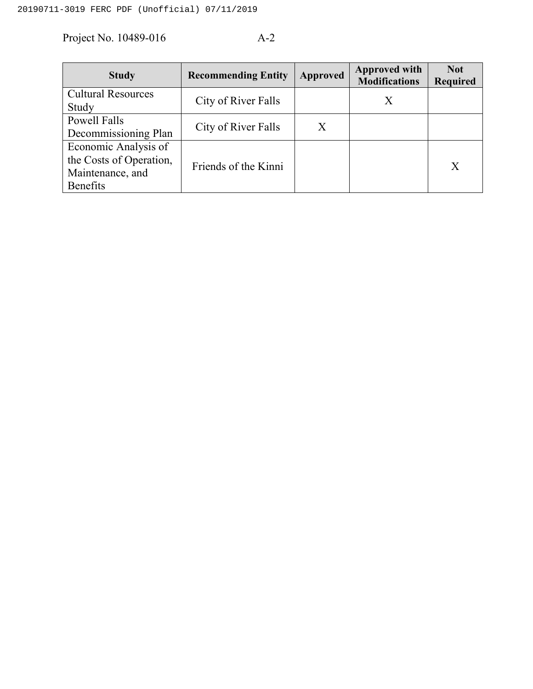| <b>Study</b>                                                                           | <b>Recommending Entity</b> | <b>Approved</b> | <b>Approved with</b><br><b>Modifications</b> | <b>Not</b><br><b>Required</b> |
|----------------------------------------------------------------------------------------|----------------------------|-----------------|----------------------------------------------|-------------------------------|
| <b>Cultural Resources</b><br>Study                                                     | City of River Falls        |                 | X                                            |                               |
| Powell Falls<br>Decommissioning Plan                                                   | City of River Falls        | X               |                                              |                               |
| Economic Analysis of<br>the Costs of Operation,<br>Maintenance, and<br><b>Benefits</b> | Friends of the Kinni       |                 |                                              | X                             |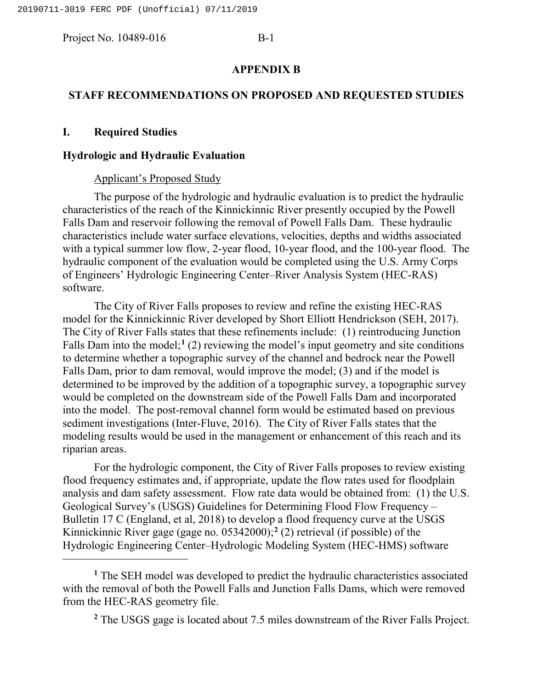### **APPENDIX B**

## **STAFF RECOMMENDATIONS ON PROPOSED AND REQUESTED STUDIES**

## **I. Required Studies**

l

## **Hydrologic and Hydraulic Evaluation**

### Applicant's Proposed Study

The purpose of the hydrologic and hydraulic evaluation is to predict the hydraulic characteristics of the reach of the Kinnickinnic River presently occupied by the Powell Falls Dam and reservoir following the removal of Powell Falls Dam. These hydraulic characteristics include water surface elevations, velocities, depths and widths associated with a typical summer low flow, 2-year flood, 10-year flood, and the 100-year flood. The hydraulic component of the evaluation would be completed using the U.S. Army Corps of Engineers' Hydrologic Engineering Center–River Analysis System (HEC-RAS) software.

The City of River Falls proposes to review and refine the existing HEC-RAS model for the Kinnickinnic River developed by Short Elliott Hendrickson (SEH, 2017). The City of River Falls states that these refinements include: (1) reintroducing Junction Falls Dam into the model;<sup>[1](#page-5-0)</sup> (2) reviewing the model's input geometry and site conditions to determine whether a topographic survey of the channel and bedrock near the Powell Falls Dam, prior to dam removal, would improve the model; (3) and if the model is determined to be improved by the addition of a topographic survey, a topographic survey would be completed on the downstream side of the Powell Falls Dam and incorporated into the model. The post-removal channel form would be estimated based on previous sediment investigations (Inter-Fluve, 2016). The City of River Falls states that the modeling results would be used in the management or enhancement of this reach and its riparian areas.

For the hydrologic component, the City of River Falls proposes to review existing flood frequency estimates and, if appropriate, update the flow rates used for floodplain analysis and dam safety assessment. Flow rate data would be obtained from: (1) the U.S. Geological Survey's (USGS) Guidelines for Determining Flood Flow Frequency – Bulletin 17 C (England, et al, 2018) to develop a flood frequency curve at the USGS Kinnickinnic River gage (gage no. 05342000);**[2](#page-5-1)** (2) retrieval (if possible) of the Hydrologic Engineering Center–Hydrologic Modeling System (HEC-HMS) software

<span id="page-5-1"></span><span id="page-5-0"></span>**<sup>1</sup>** The SEH model was developed to predict the hydraulic characteristics associated with the removal of both the Powell Falls and Junction Falls Dams, which were removed from the HEC-RAS geometry file.

**<sup>2</sup>** The USGS gage is located about 7.5 miles downstream of the River Falls Project.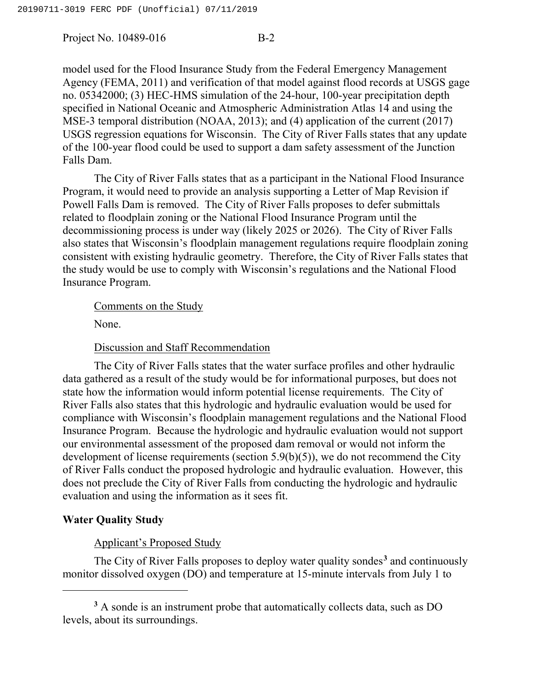model used for the Flood Insurance Study from the Federal Emergency Management Agency (FEMA, 2011) and verification of that model against flood records at USGS gage no. 05342000; (3) HEC-HMS simulation of the 24-hour, 100-year precipitation depth specified in National Oceanic and Atmospheric Administration Atlas 14 and using the MSE-3 temporal distribution (NOAA, 2013); and (4) application of the current (2017) USGS regression equations for Wisconsin. The City of River Falls states that any update of the 100-year flood could be used to support a dam safety assessment of the Junction Falls Dam.

The City of River Falls states that as a participant in the National Flood Insurance Program, it would need to provide an analysis supporting a Letter of Map Revision if Powell Falls Dam is removed. The City of River Falls proposes to defer submittals related to floodplain zoning or the National Flood Insurance Program until the decommissioning process is under way (likely 2025 or 2026). The City of River Falls also states that Wisconsin's floodplain management regulations require floodplain zoning consistent with existing hydraulic geometry. Therefore, the City of River Falls states that the study would be use to comply with Wisconsin's regulations and the National Flood Insurance Program.

#### Comments on the Study

None.

## Discussion and Staff Recommendation

The City of River Falls states that the water surface profiles and other hydraulic data gathered as a result of the study would be for informational purposes, but does not state how the information would inform potential license requirements. The City of River Falls also states that this hydrologic and hydraulic evaluation would be used for compliance with Wisconsin's floodplain management regulations and the National Flood Insurance Program. Because the hydrologic and hydraulic evaluation would not support our environmental assessment of the proposed dam removal or would not inform the development of license requirements (section 5.9(b)(5)), we do not recommend the City of River Falls conduct the proposed hydrologic and hydraulic evaluation. However, this does not preclude the City of River Falls from conducting the hydrologic and hydraulic evaluation and using the information as it sees fit.

## **Water Quality Study**

l

# Applicant's Proposed Study

The City of River Falls proposes to deploy water quality sondes**[3](#page-6-0)** and continuously monitor dissolved oxygen (DO) and temperature at 15-minute intervals from July 1 to

<span id="page-6-0"></span>**<sup>3</sup>** A sonde is an instrument probe that automatically collects data, such as DO levels, about its surroundings.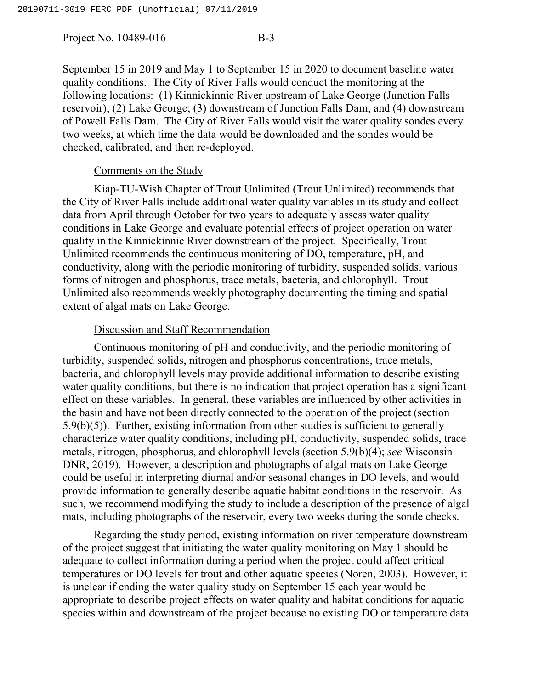September 15 in 2019 and May 1 to September 15 in 2020 to document baseline water quality conditions. The City of River Falls would conduct the monitoring at the following locations: (1) Kinnickinnic River upstream of Lake George (Junction Falls reservoir); (2) Lake George; (3) downstream of Junction Falls Dam; and (4) downstream of Powell Falls Dam. The City of River Falls would visit the water quality sondes every two weeks, at which time the data would be downloaded and the sondes would be checked, calibrated, and then re-deployed.

## Comments on the Study

Kiap-TU-Wish Chapter of Trout Unlimited (Trout Unlimited) recommends that the City of River Falls include additional water quality variables in its study and collect data from April through October for two years to adequately assess water quality conditions in Lake George and evaluate potential effects of project operation on water quality in the Kinnickinnic River downstream of the project. Specifically, Trout Unlimited recommends the continuous monitoring of DO, temperature, pH, and conductivity, along with the periodic monitoring of turbidity, suspended solids, various forms of nitrogen and phosphorus, trace metals, bacteria, and chlorophyll. Trout Unlimited also recommends weekly photography documenting the timing and spatial extent of algal mats on Lake George.

## Discussion and Staff Recommendation

Continuous monitoring of pH and conductivity, and the periodic monitoring of turbidity, suspended solids, nitrogen and phosphorus concentrations, trace metals, bacteria, and chlorophyll levels may provide additional information to describe existing water quality conditions, but there is no indication that project operation has a significant effect on these variables. In general, these variables are influenced by other activities in the basin and have not been directly connected to the operation of the project (section 5.9(b)(5)). Further, existing information from other studies is sufficient to generally characterize water quality conditions, including pH, conductivity, suspended solids, trace metals, nitrogen, phosphorus, and chlorophyll levels (section 5.9(b)(4); *see* Wisconsin DNR, 2019). However, a description and photographs of algal mats on Lake George could be useful in interpreting diurnal and/or seasonal changes in DO levels, and would provide information to generally describe aquatic habitat conditions in the reservoir. As such, we recommend modifying the study to include a description of the presence of algal mats, including photographs of the reservoir, every two weeks during the sonde checks.

Regarding the study period, existing information on river temperature downstream of the project suggest that initiating the water quality monitoring on May 1 should be adequate to collect information during a period when the project could affect critical temperatures or DO levels for trout and other aquatic species (Noren, 2003). However, it is unclear if ending the water quality study on September 15 each year would be appropriate to describe project effects on water quality and habitat conditions for aquatic species within and downstream of the project because no existing DO or temperature data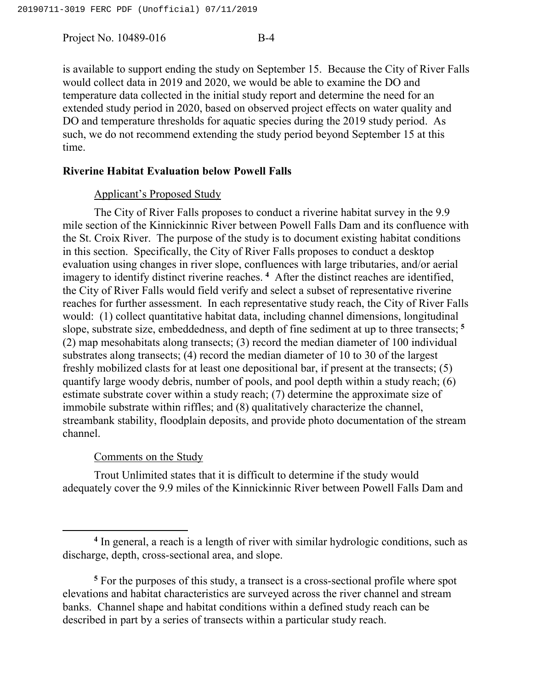is available to support ending the study on September 15. Because the City of River Falls would collect data in 2019 and 2020, we would be able to examine the DO and temperature data collected in the initial study report and determine the need for an extended study period in 2020, based on observed project effects on water quality and DO and temperature thresholds for aquatic species during the 2019 study period. As such, we do not recommend extending the study period beyond September 15 at this time.

# **Riverine Habitat Evaluation below Powell Falls**

# Applicant's Proposed Study

The City of River Falls proposes to conduct a riverine habitat survey in the 9.9 mile section of the Kinnickinnic River between Powell Falls Dam and its confluence with the St. Croix River. The purpose of the study is to document existing habitat conditions in this section. Specifically, the City of River Falls proposes to conduct a desktop evaluation using changes in river slope, confluences with large tributaries, and/or aerial imagery to identify distinct riverine reaches. **[4](#page-8-0)** After the distinct reaches are identified, the City of River Falls would field verify and select a subset of representative riverine reaches for further assessment. In each representative study reach, the City of River Falls would: (1) collect quantitative habitat data, including channel dimensions, longitudinal slope, substrate size, embeddedness, and depth of fine sediment at up to three transects; **[5](#page-8-1)** (2) map mesohabitats along transects; (3) record the median diameter of 100 individual substrates along transects; (4) record the median diameter of 10 to 30 of the largest freshly mobilized clasts for at least one depositional bar, if present at the transects; (5) quantify large woody debris, number of pools, and pool depth within a study reach; (6) estimate substrate cover within a study reach; (7) determine the approximate size of immobile substrate within riffles; and (8) qualitatively characterize the channel, streambank stability, floodplain deposits, and provide photo documentation of the stream channel.

# Comments on the Study

 $\overline{\phantom{a}}$ 

Trout Unlimited states that it is difficult to determine if the study would adequately cover the 9.9 miles of the Kinnickinnic River between Powell Falls Dam and

<span id="page-8-0"></span>**<sup>4</sup>** In general, a reach is a length of river with similar hydrologic conditions, such as discharge, depth, cross-sectional area, and slope.

<span id="page-8-1"></span>**<sup>5</sup>** For the purposes of this study, a transect is a cross-sectional profile where spot elevations and habitat characteristics are surveyed across the river channel and stream banks. Channel shape and habitat conditions within a defined study reach can be described in part by a series of transects within a particular study reach.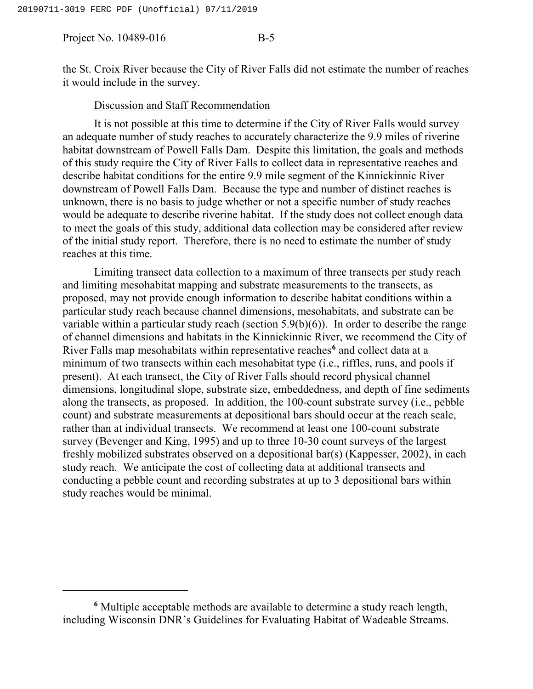l

the St. Croix River because the City of River Falls did not estimate the number of reaches it would include in the survey.

#### Discussion and Staff Recommendation

It is not possible at this time to determine if the City of River Falls would survey an adequate number of study reaches to accurately characterize the 9.9 miles of riverine habitat downstream of Powell Falls Dam. Despite this limitation, the goals and methods of this study require the City of River Falls to collect data in representative reaches and describe habitat conditions for the entire 9.9 mile segment of the Kinnickinnic River downstream of Powell Falls Dam. Because the type and number of distinct reaches is unknown, there is no basis to judge whether or not a specific number of study reaches would be adequate to describe riverine habitat. If the study does not collect enough data to meet the goals of this study, additional data collection may be considered after review of the initial study report. Therefore, there is no need to estimate the number of study reaches at this time.

Limiting transect data collection to a maximum of three transects per study reach and limiting mesohabitat mapping and substrate measurements to the transects, as proposed, may not provide enough information to describe habitat conditions within a particular study reach because channel dimensions, mesohabitats, and substrate can be variable within a particular study reach (section 5.9(b)(6)). In order to describe the range of channel dimensions and habitats in the Kinnickinnic River, we recommend the City of River Falls map mesohabitats within representative reaches**[6](#page-9-0)** and collect data at a minimum of two transects within each mesohabitat type (i.e., riffles, runs, and pools if present). At each transect, the City of River Falls should record physical channel dimensions, longitudinal slope, substrate size, embeddedness, and depth of fine sediments along the transects, as proposed. In addition, the 100-count substrate survey (i.e., pebble count) and substrate measurements at depositional bars should occur at the reach scale, rather than at individual transects. We recommend at least one 100-count substrate survey (Bevenger and King, 1995) and up to three 10-30 count surveys of the largest freshly mobilized substrates observed on a depositional bar(s) (Kappesser, 2002), in each study reach. We anticipate the cost of collecting data at additional transects and conducting a pebble count and recording substrates at up to 3 depositional bars within study reaches would be minimal.

<span id="page-9-0"></span>**<sup>6</sup>** Multiple acceptable methods are available to determine a study reach length, including Wisconsin DNR's Guidelines for Evaluating Habitat of Wadeable Streams.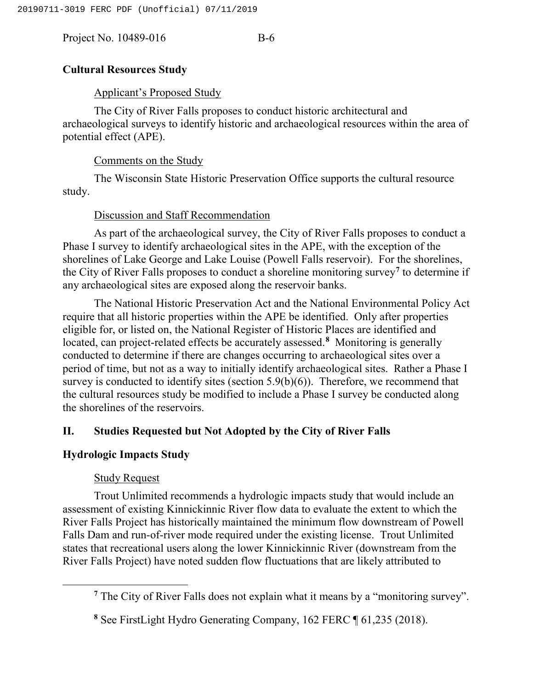# **Cultural Resources Study**

# Applicant's Proposed Study

The City of River Falls proposes to conduct historic architectural and archaeological surveys to identify historic and archaeological resources within the area of potential effect (APE).

# Comments on the Study

The Wisconsin State Historic Preservation Office supports the cultural resource study.

# Discussion and Staff Recommendation

As part of the archaeological survey, the City of River Falls proposes to conduct a Phase I survey to identify archaeological sites in the APE, with the exception of the shorelines of Lake George and Lake Louise (Powell Falls reservoir). For the shorelines, the City of River Falls proposes to conduct a shoreline monitoring survey**[7](#page-10-0)** to determine if any archaeological sites are exposed along the reservoir banks.

The National Historic Preservation Act and the National Environmental Policy Act require that all historic properties within the APE be identified. Only after properties eligible for, or listed on, the National Register of Historic Places are identified and located, can project-related effects be accurately assessed.**[8](#page-10-1)** Monitoring is generally conducted to determine if there are changes occurring to archaeological sites over a period of time, but not as a way to initially identify archaeological sites. Rather a Phase I survey is conducted to identify sites (section  $5.9(b)(6)$ ). Therefore, we recommend that the cultural resources study be modified to include a Phase I survey be conducted along the shorelines of the reservoirs.

# **II. Studies Requested but Not Adopted by the City of River Falls**

# **Hydrologic Impacts Study**

# Study Request

<span id="page-10-1"></span><span id="page-10-0"></span> $\overline{\phantom{a}}$ 

Trout Unlimited recommends a hydrologic impacts study that would include an assessment of existing Kinnickinnic River flow data to evaluate the extent to which the River Falls Project has historically maintained the minimum flow downstream of Powell Falls Dam and run-of-river mode required under the existing license. Trout Unlimited states that recreational users along the lower Kinnickinnic River (downstream from the River Falls Project) have noted sudden flow fluctuations that are likely attributed to

**<sup>7</sup>** The City of River Falls does not explain what it means by a "monitoring survey".

**<sup>8</sup>** See FirstLight Hydro Generating Company, 162 FERC ¶ 61,235 (2018).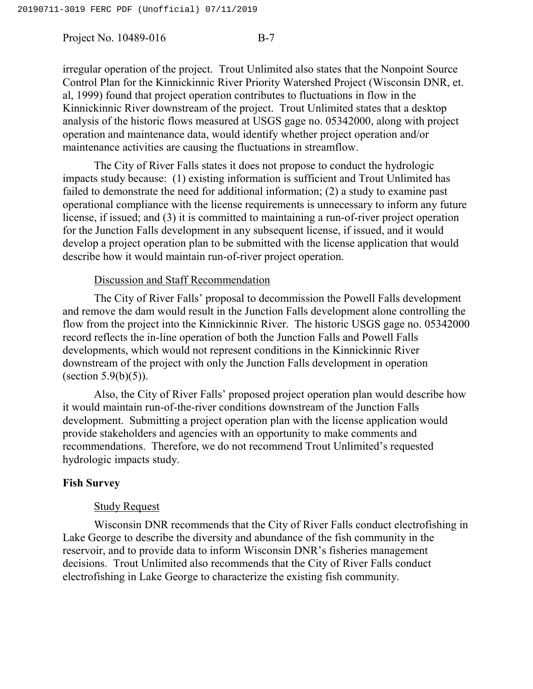irregular operation of the project. Trout Unlimited also states that the Nonpoint Source Control Plan for the Kinnickinnic River Priority Watershed Project (Wisconsin DNR, et. al, 1999) found that project operation contributes to fluctuations in flow in the Kinnickinnic River downstream of the project. Trout Unlimited states that a desktop analysis of the historic flows measured at USGS gage no. 05342000, along with project operation and maintenance data, would identify whether project operation and/or maintenance activities are causing the fluctuations in streamflow.

The City of River Falls states it does not propose to conduct the hydrologic impacts study because: (1) existing information is sufficient and Trout Unlimited has failed to demonstrate the need for additional information; (2) a study to examine past operational compliance with the license requirements is unnecessary to inform any future license, if issued; and (3) it is committed to maintaining a run-of-river project operation for the Junction Falls development in any subsequent license, if issued, and it would develop a project operation plan to be submitted with the license application that would describe how it would maintain run-of-river project operation.

## Discussion and Staff Recommendation

The City of River Falls' proposal to decommission the Powell Falls development and remove the dam would result in the Junction Falls development alone controlling the flow from the project into the Kinnickinnic River. The historic USGS gage no. 05342000 record reflects the in-line operation of both the Junction Falls and Powell Falls developments, which would not represent conditions in the Kinnickinnic River downstream of the project with only the Junction Falls development in operation (section  $5.9(b)(5)$ ).

Also, the City of River Falls' proposed project operation plan would describe how it would maintain run-of-the-river conditions downstream of the Junction Falls development. Submitting a project operation plan with the license application would provide stakeholders and agencies with an opportunity to make comments and recommendations. Therefore, we do not recommend Trout Unlimited's requested hydrologic impacts study.

# **Fish Survey**

## Study Request

Wisconsin DNR recommends that the City of River Falls conduct electrofishing in Lake George to describe the diversity and abundance of the fish community in the reservoir, and to provide data to inform Wisconsin DNR's fisheries management decisions. Trout Unlimited also recommends that the City of River Falls conduct electrofishing in Lake George to characterize the existing fish community.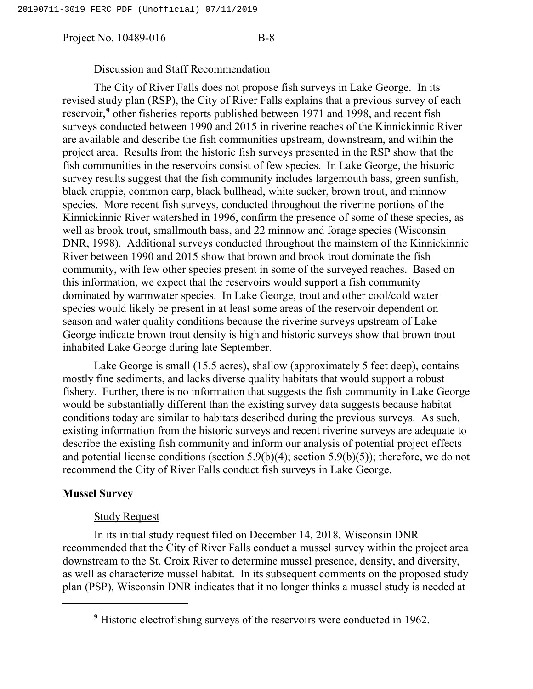#### Discussion and Staff Recommendation

The City of River Falls does not propose fish surveys in Lake George. In its revised study plan (RSP), the City of River Falls explains that a previous survey of each reservoir,<sup>[9](#page-12-0)</sup> other fisheries reports published between 1971 and 1998, and recent fish surveys conducted between 1990 and 2015 in riverine reaches of the Kinnickinnic River are available and describe the fish communities upstream, downstream, and within the project area. Results from the historic fish surveys presented in the RSP show that the fish communities in the reservoirs consist of few species. In Lake George, the historic survey results suggest that the fish community includes largemouth bass, green sunfish, black crappie, common carp, black bullhead, white sucker, brown trout, and minnow species. More recent fish surveys, conducted throughout the riverine portions of the Kinnickinnic River watershed in 1996, confirm the presence of some of these species, as well as brook trout, smallmouth bass, and 22 minnow and forage species (Wisconsin DNR, 1998). Additional surveys conducted throughout the mainstem of the Kinnickinnic River between 1990 and 2015 show that brown and brook trout dominate the fish community, with few other species present in some of the surveyed reaches. Based on this information, we expect that the reservoirs would support a fish community dominated by warmwater species. In Lake George, trout and other cool/cold water species would likely be present in at least some areas of the reservoir dependent on season and water quality conditions because the riverine surveys upstream of Lake George indicate brown trout density is high and historic surveys show that brown trout inhabited Lake George during late September.

Lake George is small (15.5 acres), shallow (approximately 5 feet deep), contains mostly fine sediments, and lacks diverse quality habitats that would support a robust fishery. Further, there is no information that suggests the fish community in Lake George would be substantially different than the existing survey data suggests because habitat conditions today are similar to habitats described during the previous surveys. As such, existing information from the historic surveys and recent riverine surveys are adequate to describe the existing fish community and inform our analysis of potential project effects and potential license conditions (section 5.9(b)(4); section 5.9(b)(5)); therefore, we do not recommend the City of River Falls conduct fish surveys in Lake George.

## **Mussel Survey**

<span id="page-12-0"></span>l

#### Study Request

In its initial study request filed on December 14, 2018, Wisconsin DNR recommended that the City of River Falls conduct a mussel survey within the project area downstream to the St. Croix River to determine mussel presence, density, and diversity, as well as characterize mussel habitat. In its subsequent comments on the proposed study plan (PSP), Wisconsin DNR indicates that it no longer thinks a mussel study is needed at

**<sup>9</sup>** Historic electrofishing surveys of the reservoirs were conducted in 1962.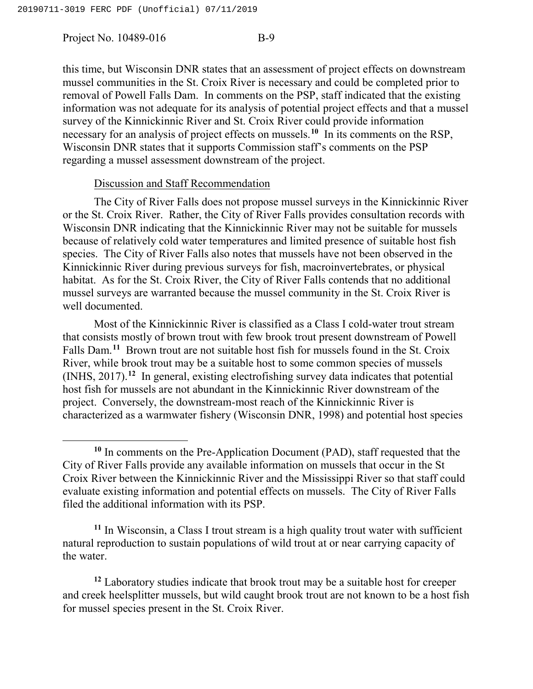$\overline{\phantom{a}}$ 

this time, but Wisconsin DNR states that an assessment of project effects on downstream mussel communities in the St. Croix River is necessary and could be completed prior to removal of Powell Falls Dam. In comments on the PSP, staff indicated that the existing information was not adequate for its analysis of potential project effects and that a mussel survey of the Kinnickinnic River and St. Croix River could provide information necessary for an analysis of project effects on mussels.**[10](#page-13-0)** In its comments on the RSP, Wisconsin DNR states that it supports Commission staff's comments on the PSP regarding a mussel assessment downstream of the project.

## Discussion and Staff Recommendation

The City of River Falls does not propose mussel surveys in the Kinnickinnic River or the St. Croix River. Rather, the City of River Falls provides consultation records with Wisconsin DNR indicating that the Kinnickinnic River may not be suitable for mussels because of relatively cold water temperatures and limited presence of suitable host fish species. The City of River Falls also notes that mussels have not been observed in the Kinnickinnic River during previous surveys for fish, macroinvertebrates, or physical habitat. As for the St. Croix River, the City of River Falls contends that no additional mussel surveys are warranted because the mussel community in the St. Croix River is well documented.

Most of the Kinnickinnic River is classified as a Class I cold-water trout stream that consists mostly of brown trout with few brook trout present downstream of Powell Falls Dam.<sup>[11](#page-13-1)</sup> Brown trout are not suitable host fish for mussels found in the St. Croix River, while brook trout may be a suitable host to some common species of mussels (INHS, 2017).**[12](#page-13-2)** In general, existing electrofishing survey data indicates that potential host fish for mussels are not abundant in the Kinnickinnic River downstream of the project. Conversely, the downstream-most reach of the Kinnickinnic River is characterized as a warmwater fishery (Wisconsin DNR, 1998) and potential host species

<span id="page-13-1"></span>**<sup>11</sup>** In Wisconsin, a Class I trout stream is a high quality trout water with sufficient natural reproduction to sustain populations of wild trout at or near carrying capacity of the water.

<span id="page-13-2"></span>**<sup>12</sup>** Laboratory studies indicate that brook trout may be a suitable host for creeper and creek heelsplitter mussels, but wild caught brook trout are not known to be a host fish for mussel species present in the St. Croix River.

<span id="page-13-0"></span>**<sup>10</sup>** In comments on the Pre-Application Document (PAD), staff requested that the City of River Falls provide any available information on mussels that occur in the St Croix River between the Kinnickinnic River and the Mississippi River so that staff could evaluate existing information and potential effects on mussels. The City of River Falls filed the additional information with its PSP.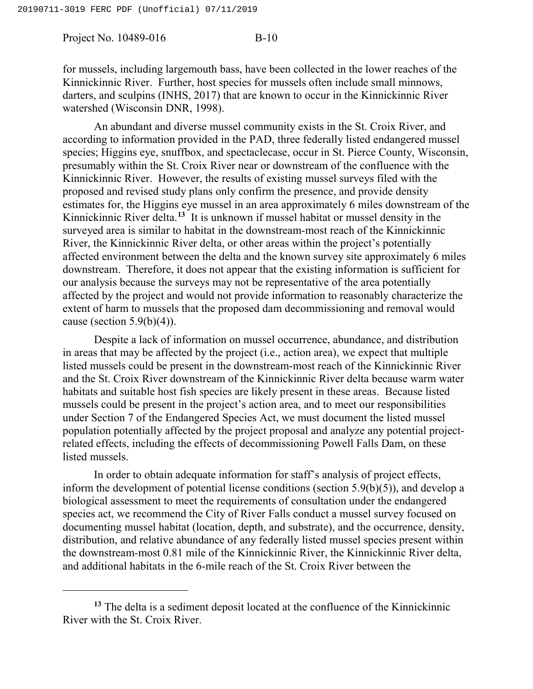l

Project No. 10489-016 B-10

for mussels, including largemouth bass, have been collected in the lower reaches of the Kinnickinnic River. Further, host species for mussels often include small minnows, darters, and sculpins (INHS, 2017) that are known to occur in the Kinnickinnic River watershed (Wisconsin DNR, 1998).

An abundant and diverse mussel community exists in the St. Croix River, and according to information provided in the PAD, three federally listed endangered mussel species; Higgins eye, snuffbox, and spectaclecase, occur in St. Pierce County, Wisconsin, presumably within the St. Croix River near or downstream of the confluence with the Kinnickinnic River. However, the results of existing mussel surveys filed with the proposed and revised study plans only confirm the presence, and provide density estimates for, the Higgins eye mussel in an area approximately 6 miles downstream of the Kinnickinnic River delta. **[13](#page-14-0)** It is unknown if mussel habitat or mussel density in the surveyed area is similar to habitat in the downstream-most reach of the Kinnickinnic River, the Kinnickinnic River delta, or other areas within the project's potentially affected environment between the delta and the known survey site approximately 6 miles downstream. Therefore, it does not appear that the existing information is sufficient for our analysis because the surveys may not be representative of the area potentially affected by the project and would not provide information to reasonably characterize the extent of harm to mussels that the proposed dam decommissioning and removal would cause (section  $5.9(b)(4)$ ).

Despite a lack of information on mussel occurrence, abundance, and distribution in areas that may be affected by the project (i.e., action area), we expect that multiple listed mussels could be present in the downstream-most reach of the Kinnickinnic River and the St. Croix River downstream of the Kinnickinnic River delta because warm water habitats and suitable host fish species are likely present in these areas. Because listed mussels could be present in the project's action area, and to meet our responsibilities under Section 7 of the Endangered Species Act, we must document the listed mussel population potentially affected by the project proposal and analyze any potential projectrelated effects, including the effects of decommissioning Powell Falls Dam, on these listed mussels.

In order to obtain adequate information for staff's analysis of project effects, inform the development of potential license conditions (section 5.9(b)(5)), and develop a biological assessment to meet the requirements of consultation under the endangered species act, we recommend the City of River Falls conduct a mussel survey focused on documenting mussel habitat (location, depth, and substrate), and the occurrence, density, distribution, and relative abundance of any federally listed mussel species present within the downstream-most 0.81 mile of the Kinnickinnic River, the Kinnickinnic River delta, and additional habitats in the 6-mile reach of the St. Croix River between the

<span id="page-14-0"></span>**<sup>13</sup>** The delta is a sediment deposit located at the confluence of the Kinnickinnic River with the St. Croix River.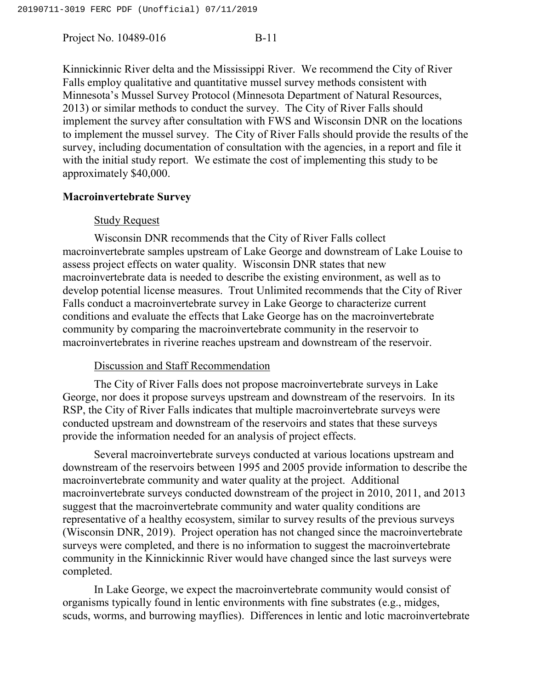Kinnickinnic River delta and the Mississippi River. We recommend the City of River Falls employ qualitative and quantitative mussel survey methods consistent with Minnesota's Mussel Survey Protocol (Minnesota Department of Natural Resources, 2013) or similar methods to conduct the survey. The City of River Falls should implement the survey after consultation with FWS and Wisconsin DNR on the locations to implement the mussel survey. The City of River Falls should provide the results of the survey, including documentation of consultation with the agencies, in a report and file it with the initial study report. We estimate the cost of implementing this study to be approximately \$40,000.

## **Macroinvertebrate Survey**

## Study Request

Wisconsin DNR recommends that the City of River Falls collect macroinvertebrate samples upstream of Lake George and downstream of Lake Louise to assess project effects on water quality. Wisconsin DNR states that new macroinvertebrate data is needed to describe the existing environment, as well as to develop potential license measures. Trout Unlimited recommends that the City of River Falls conduct a macroinvertebrate survey in Lake George to characterize current conditions and evaluate the effects that Lake George has on the macroinvertebrate community by comparing the macroinvertebrate community in the reservoir to macroinvertebrates in riverine reaches upstream and downstream of the reservoir.

## Discussion and Staff Recommendation

The City of River Falls does not propose macroinvertebrate surveys in Lake George, nor does it propose surveys upstream and downstream of the reservoirs. In its RSP, the City of River Falls indicates that multiple macroinvertebrate surveys were conducted upstream and downstream of the reservoirs and states that these surveys provide the information needed for an analysis of project effects.

Several macroinvertebrate surveys conducted at various locations upstream and downstream of the reservoirs between 1995 and 2005 provide information to describe the macroinvertebrate community and water quality at the project. Additional macroinvertebrate surveys conducted downstream of the project in 2010, 2011, and 2013 suggest that the macroinvertebrate community and water quality conditions are representative of a healthy ecosystem, similar to survey results of the previous surveys (Wisconsin DNR, 2019). Project operation has not changed since the macroinvertebrate surveys were completed, and there is no information to suggest the macroinvertebrate community in the Kinnickinnic River would have changed since the last surveys were completed.

In Lake George, we expect the macroinvertebrate community would consist of organisms typically found in lentic environments with fine substrates (e.g., midges, scuds, worms, and burrowing mayflies). Differences in lentic and lotic macroinvertebrate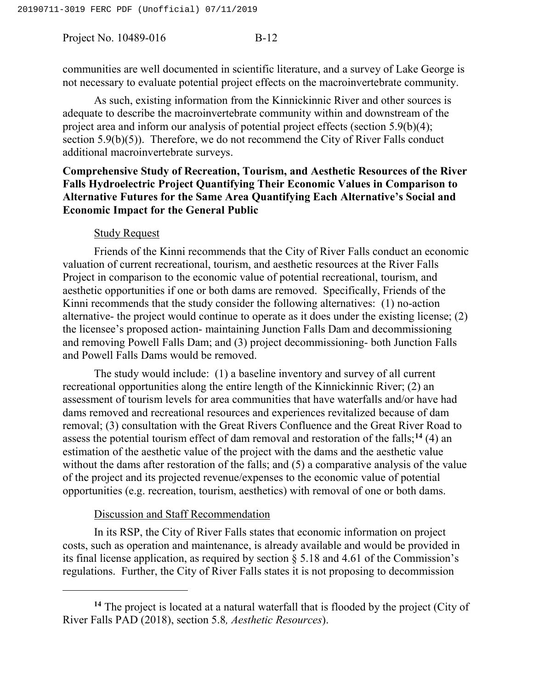communities are well documented in scientific literature, and a survey of Lake George is not necessary to evaluate potential project effects on the macroinvertebrate community.

As such, existing information from the Kinnickinnic River and other sources is adequate to describe the macroinvertebrate community within and downstream of the project area and inform our analysis of potential project effects (section 5.9(b)(4); section 5.9(b)(5)). Therefore, we do not recommend the City of River Falls conduct additional macroinvertebrate surveys.

# **Comprehensive Study of Recreation, Tourism, and Aesthetic Resources of the River Falls Hydroelectric Project Quantifying Their Economic Values in Comparison to Alternative Futures for the Same Area Quantifying Each Alternative's Social and Economic Impact for the General Public**

# Study Request

Friends of the Kinni recommends that the City of River Falls conduct an economic valuation of current recreational, tourism, and aesthetic resources at the River Falls Project in comparison to the economic value of potential recreational, tourism, and aesthetic opportunities if one or both dams are removed. Specifically, Friends of the Kinni recommends that the study consider the following alternatives: (1) no-action alternative- the project would continue to operate as it does under the existing license; (2) the licensee's proposed action- maintaining Junction Falls Dam and decommissioning and removing Powell Falls Dam; and (3) project decommissioning- both Junction Falls and Powell Falls Dams would be removed.

The study would include: (1) a baseline inventory and survey of all current recreational opportunities along the entire length of the Kinnickinnic River; (2) an assessment of tourism levels for area communities that have waterfalls and/or have had dams removed and recreational resources and experiences revitalized because of dam removal; (3) consultation with the Great Rivers Confluence and the Great River Road to assess the potential tourism effect of dam removal and restoration of the falls;**[14](#page-16-0)** (4) an estimation of the aesthetic value of the project with the dams and the aesthetic value without the dams after restoration of the falls; and (5) a comparative analysis of the value of the project and its projected revenue/expenses to the economic value of potential opportunities (e.g. recreation, tourism, aesthetics) with removal of one or both dams.

# Discussion and Staff Recommendation

l

In its RSP, the City of River Falls states that economic information on project costs, such as operation and maintenance, is already available and would be provided in its final license application, as required by section § 5.18 and 4.61 of the Commission's regulations. Further, the City of River Falls states it is not proposing to decommission

<span id="page-16-0"></span>**<sup>14</sup>** The project is located at a natural waterfall that is flooded by the project (City of River Falls PAD (2018), section 5.8*, Aesthetic Resources*).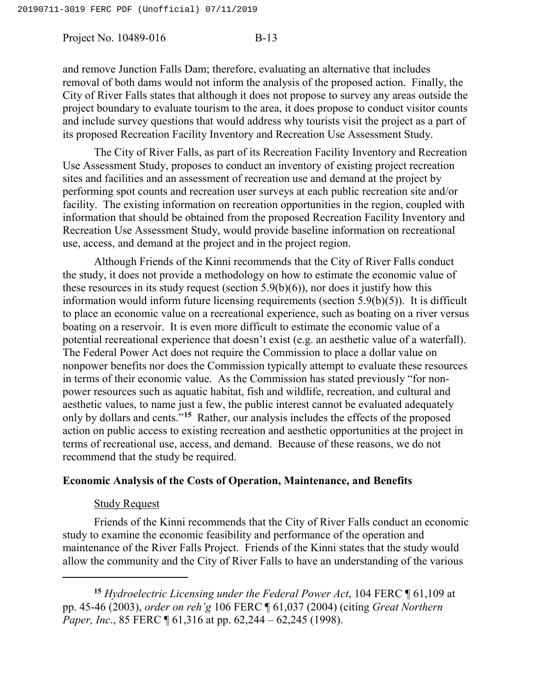and remove Junction Falls Dam; therefore, evaluating an alternative that includes removal of both dams would not inform the analysis of the proposed action. Finally, the City of River Falls states that although it does not propose to survey any areas outside the project boundary to evaluate tourism to the area, it does propose to conduct visitor counts and include survey questions that would address why tourists visit the project as a part of its proposed Recreation Facility Inventory and Recreation Use Assessment Study.

The City of River Falls, as part of its Recreation Facility Inventory and Recreation Use Assessment Study, proposes to conduct an inventory of existing project recreation sites and facilities and an assessment of recreation use and demand at the project by performing spot counts and recreation user surveys at each public recreation site and/or facility. The existing information on recreation opportunities in the region, coupled with information that should be obtained from the proposed Recreation Facility Inventory and Recreation Use Assessment Study, would provide baseline information on recreational use, access, and demand at the project and in the project region.

Although Friends of the Kinni recommends that the City of River Falls conduct the study, it does not provide a methodology on how to estimate the economic value of these resources in its study request (section  $5.9(b)(6)$ ), nor does it justify how this information would inform future licensing requirements (section 5.9(b)(5)). It is difficult to place an economic value on a recreational experience, such as boating on a river versus boating on a reservoir. It is even more difficult to estimate the economic value of a potential recreational experience that doesn't exist (e.g. an aesthetic value of a waterfall). The Federal Power Act does not require the Commission to place a dollar value on nonpower benefits nor does the Commission typically attempt to evaluate these resources in terms of their economic value. As the Commission has stated previously "for nonpower resources such as aquatic habitat, fish and wildlife, recreation, and cultural and aesthetic values, to name just a few, the public interest cannot be evaluated adequately only by dollars and cents."**[15](#page-17-0)** Rather, our analysis includes the effects of the proposed action on public access to existing recreation and aesthetic opportunities at the project in terms of recreational use, access, and demand. Because of these reasons, we do not recommend that the study be required.

# **Economic Analysis of the Costs of Operation, Maintenance, and Benefits**

## Study Request

l

Friends of the Kinni recommends that the City of River Falls conduct an economic study to examine the economic feasibility and performance of the operation and maintenance of the River Falls Project. Friends of the Kinni states that the study would allow the community and the City of River Falls to have an understanding of the various

<span id="page-17-0"></span>**<sup>15</sup>** *Hydroelectric Licensing under the Federal Power Act*, 104 FERC ¶ 61,109 at pp. 45-46 (2003), *order on reh'g* 106 FERC ¶ 61,037 (2004) (citing *Great Northern Paper, Inc.*, 85 FERC ¶ 61,316 at pp. 62,244 – 62,245 (1998).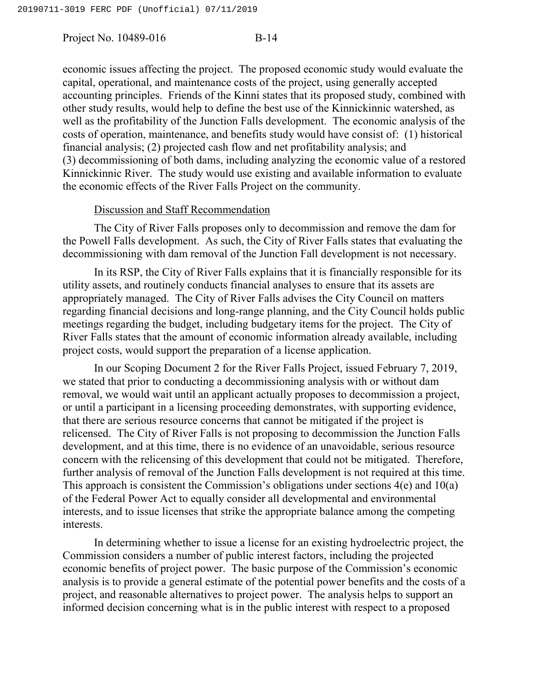economic issues affecting the project. The proposed economic study would evaluate the capital, operational, and maintenance costs of the project, using generally accepted accounting principles. Friends of the Kinni states that its proposed study, combined with other study results, would help to define the best use of the Kinnickinnic watershed, as well as the profitability of the Junction Falls development. The economic analysis of the costs of operation, maintenance, and benefits study would have consist of: (1) historical financial analysis; (2) projected cash flow and net profitability analysis; and (3) decommissioning of both dams, including analyzing the economic value of a restored Kinnickinnic River. The study would use existing and available information to evaluate the economic effects of the River Falls Project on the community.

## Discussion and Staff Recommendation

The City of River Falls proposes only to decommission and remove the dam for the Powell Falls development. As such, the City of River Falls states that evaluating the decommissioning with dam removal of the Junction Fall development is not necessary.

In its RSP, the City of River Falls explains that it is financially responsible for its utility assets, and routinely conducts financial analyses to ensure that its assets are appropriately managed. The City of River Falls advises the City Council on matters regarding financial decisions and long-range planning, and the City Council holds public meetings regarding the budget, including budgetary items for the project. The City of River Falls states that the amount of economic information already available, including project costs, would support the preparation of a license application.

In our Scoping Document 2 for the River Falls Project, issued February 7, 2019, we stated that prior to conducting a decommissioning analysis with or without dam removal, we would wait until an applicant actually proposes to decommission a project, or until a participant in a licensing proceeding demonstrates, with supporting evidence, that there are serious resource concerns that cannot be mitigated if the project is relicensed. The City of River Falls is not proposing to decommission the Junction Falls development, and at this time, there is no evidence of an unavoidable, serious resource concern with the relicensing of this development that could not be mitigated. Therefore, further analysis of removal of the Junction Falls development is not required at this time. This approach is consistent the Commission's obligations under sections 4(e) and 10(a) of the Federal Power Act to equally consider all developmental and environmental interests, and to issue licenses that strike the appropriate balance among the competing interests.

In determining whether to issue a license for an existing hydroelectric project, the Commission considers a number of public interest factors, including the projected economic benefits of project power. The basic purpose of the Commission's economic analysis is to provide a general estimate of the potential power benefits and the costs of a project, and reasonable alternatives to project power. The analysis helps to support an informed decision concerning what is in the public interest with respect to a proposed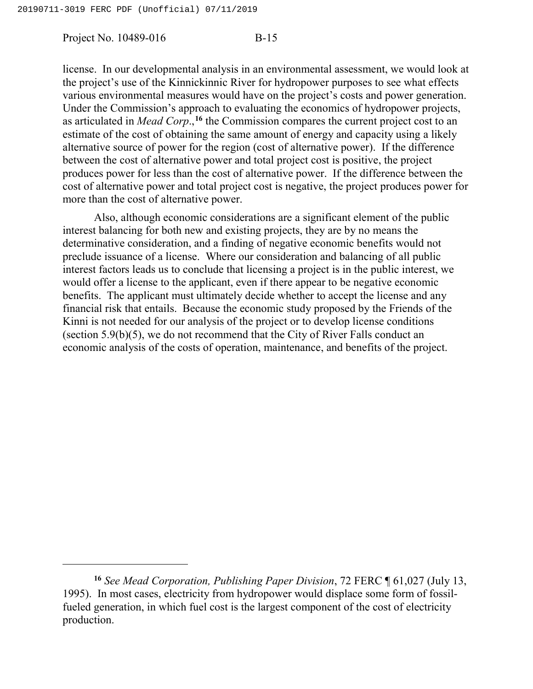l

Project No. 10489-016 B-15

license. In our developmental analysis in an environmental assessment, we would look at the project's use of the Kinnickinnic River for hydropower purposes to see what effects various environmental measures would have on the project's costs and power generation. Under the Commission's approach to evaluating the economics of hydropower projects, as articulated in *Mead Corp*.,**[16](#page-19-0)** the Commission compares the current project cost to an estimate of the cost of obtaining the same amount of energy and capacity using a likely alternative source of power for the region (cost of alternative power). If the difference between the cost of alternative power and total project cost is positive, the project produces power for less than the cost of alternative power. If the difference between the cost of alternative power and total project cost is negative, the project produces power for more than the cost of alternative power.

Also, although economic considerations are a significant element of the public interest balancing for both new and existing projects, they are by no means the determinative consideration, and a finding of negative economic benefits would not preclude issuance of a license. Where our consideration and balancing of all public interest factors leads us to conclude that licensing a project is in the public interest, we would offer a license to the applicant, even if there appear to be negative economic benefits. The applicant must ultimately decide whether to accept the license and any financial risk that entails. Because the economic study proposed by the Friends of the Kinni is not needed for our analysis of the project or to develop license conditions (section 5.9(b)(5), we do not recommend that the City of River Falls conduct an economic analysis of the costs of operation, maintenance, and benefits of the project.

<span id="page-19-0"></span>**<sup>16</sup>** *See Mead Corporation, Publishing Paper Division*, 72 FERC ¶ 61,027 (July 13, 1995). In most cases, electricity from hydropower would displace some form of fossilfueled generation, in which fuel cost is the largest component of the cost of electricity production.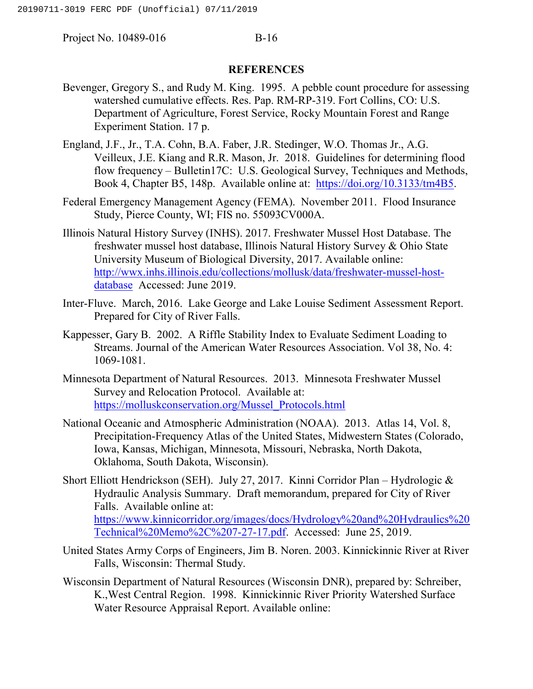### **REFERENCES**

- Bevenger, Gregory S., and Rudy M. King. 1995. A pebble count procedure for assessing watershed cumulative effects. Res. Pap. RM-RP-319. Fort Collins, CO: U.S. Department of Agriculture, Forest Service, Rocky Mountain Forest and Range Experiment Station. 17 p.
- England, J.F., Jr., T.A. Cohn, B.A. Faber, J.R. Stedinger, W.O. Thomas Jr., A.G. Veilleux, J.E. Kiang and R.R. Mason, Jr. 2018. Guidelines for determining flood flow frequency – Bulletin17C: U.S. Geological Survey, Techniques and Methods, Book 4, Chapter B5, 148p. Available online at: [https://doi.org/10.3133/tm4B5.](https://doi.org/10.3133/tm4B5)
- Federal Emergency Management Agency (FEMA). November 2011. Flood Insurance Study, Pierce County, WI; FIS no. 55093CV000A.
- Illinois Natural History Survey (INHS). 2017. Freshwater Mussel Host Database. The freshwater mussel host database, Illinois Natural History Survey & Ohio State University Museum of Biological Diversity, 2017. Available online: [http://wwx.inhs.illinois.edu/collections/mollusk/data/freshwater-mussel-host](http://wwx.inhs.illinois.edu/collections/mollusk/data/freshwater-mussel-host-database)[database](http://wwx.inhs.illinois.edu/collections/mollusk/data/freshwater-mussel-host-database) Accessed: June 2019.
- Inter-Fluve. March, 2016. Lake George and Lake Louise Sediment Assessment Report. Prepared for City of River Falls.
- Kappesser, Gary B. 2002. A Riffle Stability Index to Evaluate Sediment Loading to Streams. Journal of the American Water Resources Association. Vol 38, No. 4: 1069-1081.
- Minnesota Department of Natural Resources. 2013. Minnesota Freshwater Mussel Survey and Relocation Protocol. Available at: [https://molluskconservation.org/Mussel\\_Protocols.html](https://molluskconservation.org/Mussel_Protocols.html)
- National Oceanic and Atmospheric Administration (NOAA). 2013. Atlas 14, Vol. 8, Precipitation-Frequency Atlas of the United States, Midwestern States (Colorado, Iowa, Kansas, Michigan, Minnesota, Missouri, Nebraska, North Dakota, Oklahoma, South Dakota, Wisconsin).
- Short Elliott Hendrickson (SEH). July 27, 2017. Kinni Corridor Plan Hydrologic & Hydraulic Analysis Summary. Draft memorandum, prepared for City of River Falls. Available online at: [https://www.kinnicorridor.org/images/docs/Hydrology%20and%20Hydraulics%20](https://www.kinnicorridor.org/images/docs/Hydrology%20and%20Hydraulics%20Technical%20Memo%2C%207-27-17.pdf) [Technical%20Memo%2C%207-27-17.pdf.](https://www.kinnicorridor.org/images/docs/Hydrology%20and%20Hydraulics%20Technical%20Memo%2C%207-27-17.pdf) Accessed: June 25, 2019.
- United States Army Corps of Engineers, Jim B. Noren. 2003. Kinnickinnic River at River Falls, Wisconsin: Thermal Study.
- Wisconsin Department of Natural Resources (Wisconsin DNR), prepared by: Schreiber, K.,West Central Region. 1998. Kinnickinnic River Priority Watershed Surface Water Resource Appraisal Report. Available online: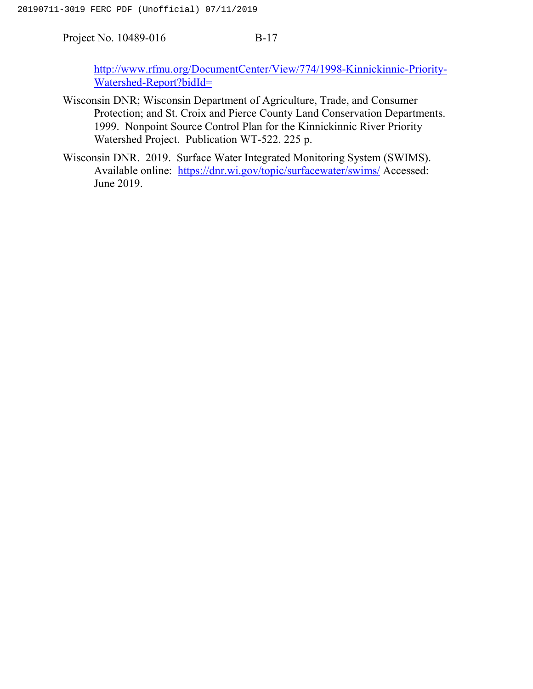[http://www.rfmu.org/DocumentCenter/View/774/1998-Kinnickinnic-Priority-](http://www.rfmu.org/DocumentCenter/View/774/1998-Kinnickinnic-Priority-Watershed-Report?bidId=)[Watershed-Report?bidId=](http://www.rfmu.org/DocumentCenter/View/774/1998-Kinnickinnic-Priority-Watershed-Report?bidId=)

- Wisconsin DNR; Wisconsin Department of Agriculture, Trade, and Consumer Protection; and St. Croix and Pierce County Land Conservation Departments. 1999. Nonpoint Source Control Plan for the Kinnickinnic River Priority Watershed Project. Publication WT-522. 225 p.
- Wisconsin DNR. 2019. Surface Water Integrated Monitoring System (SWIMS). Available online: <https://dnr.wi.gov/topic/surfacewater/swims/> Accessed: June 2019.